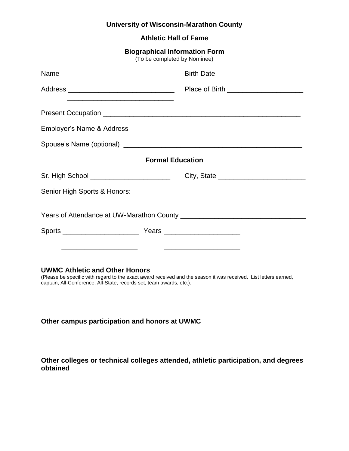# **University of Wisconsin-Marathon County**

## **Athletic Hall of Fame**

# **Biographical Information Form**

(To be completed by Nominee)

| Name                                            |                                                                                                                         |
|-------------------------------------------------|-------------------------------------------------------------------------------------------------------------------------|
|                                                 |                                                                                                                         |
|                                                 |                                                                                                                         |
|                                                 |                                                                                                                         |
| <b>Formal Education</b>                         |                                                                                                                         |
| Sr. High School _______________________         |                                                                                                                         |
| Senior High Sports & Honors:                    |                                                                                                                         |
|                                                 |                                                                                                                         |
|                                                 |                                                                                                                         |
| <u> 1980 - Johann John Stone, mars et al. (</u> | <u> 1989 - Johann John Stone, markin sanadi shirta mashrida na shekara ta 1989 - An tsa na shekara ta 1981 - An tsa</u> |

### **UWMC Athletic and Other Honors**

(Please be specific with regard to the exact award received and the season it was received. List letters earned, captain, All-Conference, All-State, records set, team awards, etc.).

**Other campus participation and honors at UWMC**

**Other colleges or technical colleges attended, athletic participation, and degrees obtained**